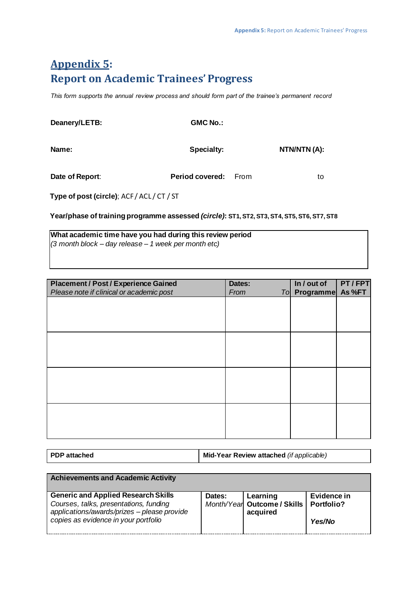## **Appendix 5: Report on Academic Trainees' Progress**

*This form supports the annual review process and should form part of the trainee's permanent record* 

| Deanery/LETB:   | <b>GMC No.:</b>        |             |
|-----------------|------------------------|-------------|
| Name:           | Specialty:             | NTN/NTN(A): |
| Date of Report: | <b>Period covered:</b> | From<br>to  |

**Type of post (circle)**; ACF / ACL / CT / ST

**Year/phase of training programme assessed** *(circle)***: ST1, ST2, ST3, ST4, ST5, ST6, ST7, ST8**

**What academic time have you had during this review period**  *(3 month block – day release – 1 week per month etc)* 

| <b>Placement / Post / Experience Gained</b><br>Please note if clinical or academic post | Dates:<br>From | In / out of<br><b>To Programme</b> | PT/FPT<br>As %FT |
|-----------------------------------------------------------------------------------------|----------------|------------------------------------|------------------|
|                                                                                         |                |                                    |                  |
|                                                                                         |                |                                    |                  |
|                                                                                         |                |                                    |                  |
|                                                                                         |                |                                    |                  |
|                                                                                         |                |                                    |                  |
|                                                                                         |                |                                    |                  |
|                                                                                         |                |                                    |                  |
|                                                                                         |                |                                    |                  |
|                                                                                         |                |                                    |                  |
|                                                                                         |                |                                    |                  |

| <b>PDP</b> attached | Mid-Year Review attached (if applicable) |
|---------------------|------------------------------------------|
|---------------------|------------------------------------------|

| <b>Achievements and Academic Activity</b>                                                                                                                                   |        |                                                                  |                       |
|-----------------------------------------------------------------------------------------------------------------------------------------------------------------------------|--------|------------------------------------------------------------------|-----------------------|
| <b>Generic and Applied Research Skills</b><br>Courses, talks, presentations, funding<br>applications/awards/prizes - please provide<br>copies as evidence in your portfolio | Dates: | Learning<br>Month/Year Outcome / Skills   Portfolio?<br>acquired | Evidence in<br>Yes/No |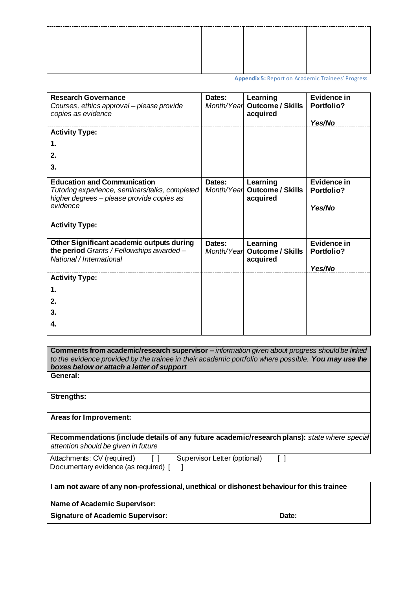**Appendix 5:** Report on Academic Trainees' Progress

| <b>Research Governance</b>                     | Dates:     | Learning                | <b>Evidence in</b> |
|------------------------------------------------|------------|-------------------------|--------------------|
| Courses, ethics approval - please provide      | Month/Year | <b>Outcome / Skills</b> | Portfolio?         |
| copies as evidence                             |            | acquired                |                    |
|                                                |            |                         | Yes/No             |
| <b>Activity Type:</b>                          |            |                         |                    |
| 1.                                             |            |                         |                    |
| 2.                                             |            |                         |                    |
| 3.                                             |            |                         |                    |
|                                                |            |                         |                    |
| <b>Education and Communication</b>             | Dates:     | Learning                | Evidence in        |
| Tutoring experience, seminars/talks, completed | Month/Year | Outcome / Skills        | <b>Portfolio?</b>  |
| higher degrees - please provide copies as      |            | acquired                |                    |
| evidence                                       |            |                         | Yes/No             |
|                                                |            |                         |                    |
| <b>Activity Type:</b>                          |            |                         |                    |
|                                                |            |                         |                    |
| Other Significant academic outputs during      | Dates:     | Learning                | Evidence in        |
| the period Grants / Fellowships awarded -      | Month/Year | <b>Outcome / Skills</b> | <b>Portfolio?</b>  |
| National / International                       |            | acquired                |                    |
|                                                |            |                         | Yes/No             |
| <b>Activity Type:</b>                          |            |                         |                    |
| 1.                                             |            |                         |                    |
|                                                |            |                         |                    |
| 2.                                             |            |                         |                    |
| 3.                                             |            |                         |                    |
| 4.                                             |            |                         |                    |
|                                                |            |                         |                    |

**Comments from academic/research supervisor –** *information given about progress should be linked to the evidence provided by the trainee in their academic portfolio where possible. You may use the boxes below or attach a letter of support*  **General:** 

**Strengths:** 

**Areas for Improvement:** 

**Recommendations (include details of any future academic/research plans):** *state where special attention should be given in future* 

Attachments: CV (required) [ ] Supervisor Letter (optional) [ ] Documentary evidence (as required) [ ]

| I am not aware of any non-professional, unethical or dishonest behaviour for this trainee |  |
|-------------------------------------------------------------------------------------------|--|
|                                                                                           |  |

**Name of Academic Supervisor:** 

**Signature of Academic Supervisor: Date:**